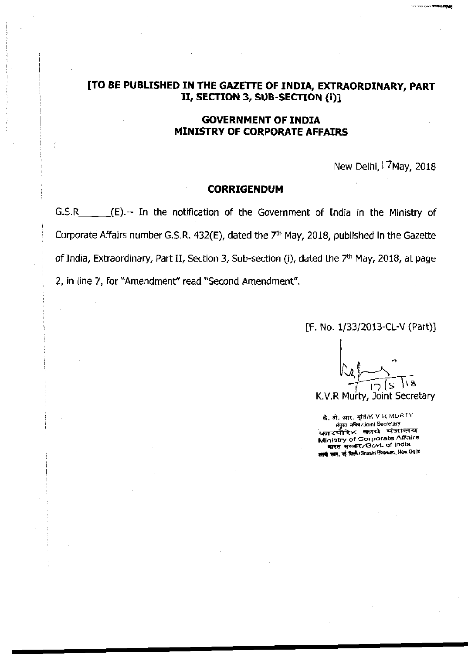## **[TO BE PUBLISHED IN THE GAZETTE OF INDIA, EXTRAORDINARY, PART I I , SECTION 3, SUB-SECTION (i)]**

### **GOVERNMENT OF INDIA MINISTRY OF CORPORATE AFFAIRS**

New Delhi, <sup>17</sup>May, 2018

#### **CORRIGENDUM**

G.S.R (E).-- In the notification of the Government of India in the Ministry of Corporate Affairs number G.S.R.  $432(E)$ , dated the  $7<sup>th</sup>$  May, 2018, published in the Gazette of India, Extraordinary, Part II, Section 3, Sub-section (i), dated the 7<sup>th</sup> May, 2018, at page 2, in line 7, for "Amendment" read "Second Amendment".

[F. No. 1/33/2013-CL-V (Part)]

K.V.R Murty, Joint Secretary

**के. की. आर. मूर्ति/K V R MURTY** Wjm #W/Joint Secretary *कारपोरेट का*र्य मंत्रालय **Ministry of Corporate Affairs \*n\*c सरकार/Govt. of India** *सार*मी पत्नान, नई विल्ली/Shastri Bhawan, New Delhi